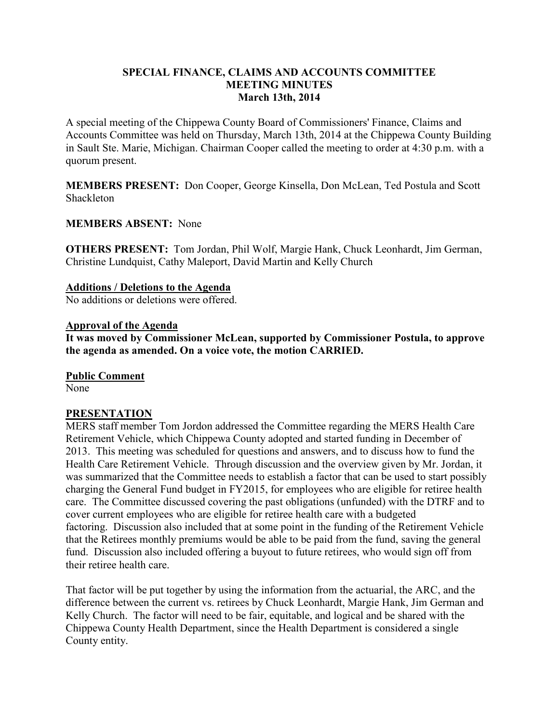## **SPECIAL FINANCE, CLAIMS AND ACCOUNTS COMMITTEE MEETING MINUTES March 13th, 2014**

A special meeting of the Chippewa County Board of Commissioners' Finance, Claims and Accounts Committee was held on Thursday, March 13th, 2014 at the Chippewa County Building in Sault Ste. Marie, Michigan. Chairman Cooper called the meeting to order at 4:30 p.m. with a quorum present.

**MEMBERS PRESENT:** Don Cooper, George Kinsella, Don McLean, Ted Postula and Scott Shackleton

### **MEMBERS ABSENT:** None

**OTHERS PRESENT:** Tom Jordan, Phil Wolf, Margie Hank, Chuck Leonhardt, Jim German, Christine Lundquist, Cathy Maleport, David Martin and Kelly Church

### **Additions / Deletions to the Agenda**

No additions or deletions were offered.

### **Approval of the Agenda**

**It was moved by Commissioner McLean, supported by Commissioner Postula, to approve the agenda as amended. On a voice vote, the motion CARRIED.**

**Public Comment**

None

### **PRESENTATION**

MERS staff member Tom Jordon addressed the Committee regarding the MERS Health Care Retirement Vehicle, which Chippewa County adopted and started funding in December of 2013. This meeting was scheduled for questions and answers, and to discuss how to fund the Health Care Retirement Vehicle. Through discussion and the overview given by Mr. Jordan, it was summarized that the Committee needs to establish a factor that can be used to start possibly charging the General Fund budget in FY2015, for employees who are eligible for retiree health care. The Committee discussed covering the past obligations (unfunded) with the DTRF and to cover current employees who are eligible for retiree health care with a budgeted factoring. Discussion also included that at some point in the funding of the Retirement Vehicle that the Retirees monthly premiums would be able to be paid from the fund, saving the general fund. Discussion also included offering a buyout to future retirees, who would sign off from their retiree health care.

That factor will be put together by using the information from the actuarial, the ARC, and the difference between the current vs. retirees by Chuck Leonhardt, Margie Hank, Jim German and Kelly Church. The factor will need to be fair, equitable, and logical and be shared with the Chippewa County Health Department, since the Health Department is considered a single County entity.